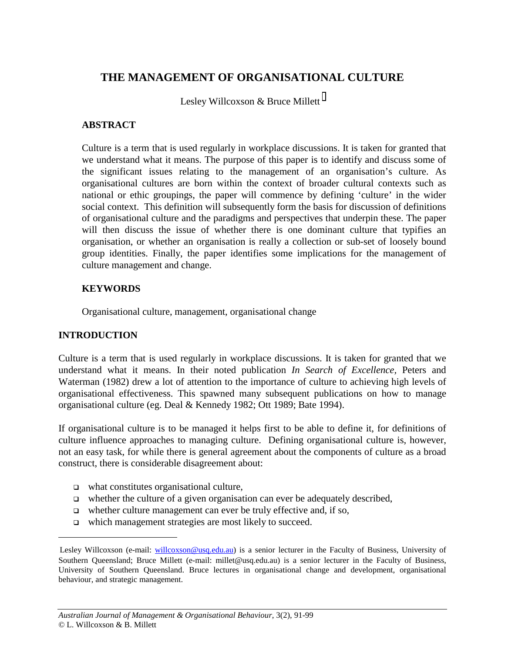# **THE MANAGEMENT OF ORGANISATIONAL CULTURE**

Lesley Willcoxson & Bruce Millett

### **ABSTRACT**

Culture is a term that is used regularly in workplace discussions. It is taken for granted that we understand what it means. The purpose of this paper is to identify and discuss some of the significant issues relating to the management of an organisation's culture. As organisational cultures are born within the context of broader cultural contexts such as national or ethic groupings, the paper will commence by defining 'culture' in the wider social context. This definition will subsequently form the basis for discussion of definitions of organisational culture and the paradigms and perspectives that underpin these. The paper will then discuss the issue of whether there is one dominant culture that typifies an organisation, or whether an organisation is really a collection or sub-set of loosely bound group identities. Finally, the paper identifies some implications for the management of culture management and change.

## **KEYWORDS**

Organisational culture, management, organisational change

## **INTRODUCTION**

 $\overline{a}$ 

Culture is a term that is used regularly in workplace discussions. It is taken for granted that we understand what it means. In their noted publication *In Search of Excellence,* Peters and Waterman (1982) drew a lot of attention to the importance of culture to achieving high levels of organisational effectiveness. This spawned many subsequent publications on how to manage organisational culture (eg. Deal & Kennedy 1982; Ott 1989; Bate 1994).

If organisational culture is to be managed it helps first to be able to define it, for definitions of culture influence approaches to managing culture. Defining organisational culture is, however, not an easy task, for while there is general agreement about the components of culture as a broad construct, there is considerable disagreement about:

- $\Box$  what constitutes organisational culture,
- $\Box$  whether the culture of a given organisation can ever be adequately described,
- $\Box$  whether culture management can ever be truly effective and, if so,
- □ which management strategies are most likely to succeed.

Lesley Willcoxson (e-mail: willcoxson@usq.edu.au) is a senior lecturer in the Faculty of Business, University of Southern Queensland; Bruce Millett (e-mail: millet@usq.edu.au) is a senior lecturer in the Faculty of Business, University of Southern Queensland. Bruce lectures in organisational change and development, organisational behaviour, and strategic management.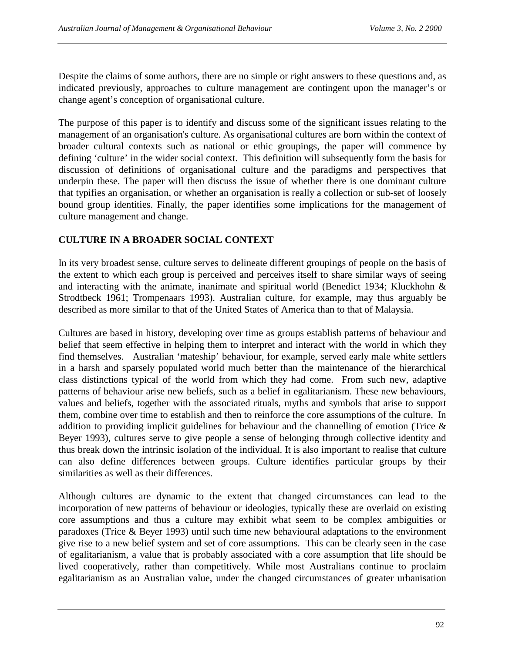Despite the claims of some authors, there are no simple or right answers to these questions and, as indicated previously, approaches to culture management are contingent upon the manager's or change agent's conception of organisational culture.

The purpose of this paper is to identify and discuss some of the significant issues relating to the management of an organisation's culture. As organisational cultures are born within the context of broader cultural contexts such as national or ethic groupings, the paper will commence by defining 'culture' in the wider social context. This definition will subsequently form the basis for discussion of definitions of organisational culture and the paradigms and perspectives that underpin these. The paper will then discuss the issue of whether there is one dominant culture that typifies an organisation, or whether an organisation is really a collection or sub-set of loosely bound group identities. Finally, the paper identifies some implications for the management of culture management and change.

## **CULTURE IN A BROADER SOCIAL CONTEXT**

In its very broadest sense, culture serves to delineate different groupings of people on the basis of the extent to which each group is perceived and perceives itself to share similar ways of seeing and interacting with the animate, inanimate and spiritual world (Benedict 1934; Kluckhohn & Strodtbeck 1961; Trompenaars 1993). Australian culture, for example, may thus arguably be described as more similar to that of the United States of America than to that of Malaysia.

Cultures are based in history, developing over time as groups establish patterns of behaviour and belief that seem effective in helping them to interpret and interact with the world in which they find themselves. Australian 'mateship' behaviour, for example, served early male white settlers in a harsh and sparsely populated world much better than the maintenance of the hierarchical class distinctions typical of the world from which they had come. From such new, adaptive patterns of behaviour arise new beliefs, such as a belief in egalitarianism. These new behaviours, values and beliefs, together with the associated rituals, myths and symbols that arise to support them, combine over time to establish and then to reinforce the core assumptions of the culture. In addition to providing implicit guidelines for behaviour and the channelling of emotion (Trice & Beyer 1993), cultures serve to give people a sense of belonging through collective identity and thus break down the intrinsic isolation of the individual. It is also important to realise that culture can also define differences between groups. Culture identifies particular groups by their similarities as well as their differences.

Although cultures are dynamic to the extent that changed circumstances can lead to the incorporation of new patterns of behaviour or ideologies, typically these are overlaid on existing core assumptions and thus a culture may exhibit what seem to be complex ambiguities or paradoxes (Trice & Beyer 1993) until such time new behavioural adaptations to the environment give rise to a new belief system and set of core assumptions. This can be clearly seen in the case of egalitarianism, a value that is probably associated with a core assumption that life should be lived cooperatively, rather than competitively. While most Australians continue to proclaim egalitarianism as an Australian value, under the changed circumstances of greater urbanisation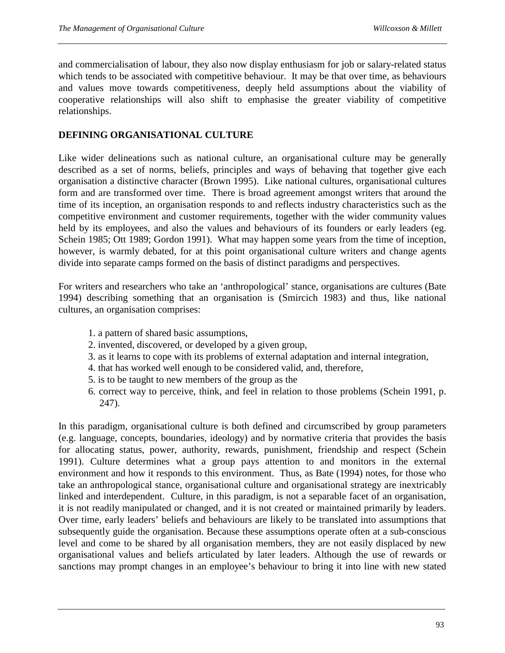and commercialisation of labour, they also now display enthusiasm for job or salary-related status which tends to be associated with competitive behaviour. It may be that over time, as behaviours and values move towards competitiveness, deeply held assumptions about the viability of cooperative relationships will also shift to emphasise the greater viability of competitive relationships.

### **DEFINING ORGANISATIONAL CULTURE**

Like wider delineations such as national culture, an organisational culture may be generally described as a set of norms, beliefs, principles and ways of behaving that together give each organisation a distinctive character (Brown 1995). Like national cultures, organisational cultures form and are transformed over time. There is broad agreement amongst writers that around the time of its inception, an organisation responds to and reflects industry characteristics such as the competitive environment and customer requirements, together with the wider community values held by its employees, and also the values and behaviours of its founders or early leaders (eg. Schein 1985; Ott 1989; Gordon 1991). What may happen some years from the time of inception, however, is warmly debated, for at this point organisational culture writers and change agents divide into separate camps formed on the basis of distinct paradigms and perspectives.

For writers and researchers who take an 'anthropological' stance, organisations are cultures (Bate 1994) describing something that an organisation is (Smircich 1983) and thus, like national cultures, an organisation comprises:

- 1. a pattern of shared basic assumptions,
- 2. invented, discovered, or developed by a given group,
- 3. as it learns to cope with its problems of external adaptation and internal integration,
- 4. that has worked well enough to be considered valid, and, therefore,
- 5. is to be taught to new members of the group as the
- 6. correct way to perceive, think, and feel in relation to those problems (Schein 1991, p. 247).

In this paradigm, organisational culture is both defined and circumscribed by group parameters (e.g. language, concepts, boundaries, ideology) and by normative criteria that provides the basis for allocating status, power, authority, rewards, punishment, friendship and respect (Schein 1991). Culture determines what a group pays attention to and monitors in the external environment and how it responds to this environment. Thus, as Bate (1994) notes, for those who take an anthropological stance, organisational culture and organisational strategy are inextricably linked and interdependent. Culture, in this paradigm, is not a separable facet of an organisation, it is not readily manipulated or changed, and it is not created or maintained primarily by leaders. Over time, early leaders' beliefs and behaviours are likely to be translated into assumptions that subsequently guide the organisation. Because these assumptions operate often at a sub-conscious level and come to be shared by all organisation members, they are not easily displaced by new organisational values and beliefs articulated by later leaders. Although the use of rewards or sanctions may prompt changes in an employee's behaviour to bring it into line with new stated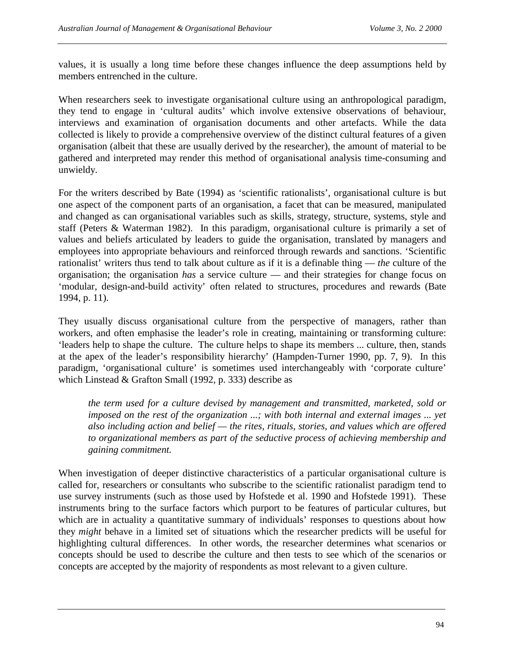values, it is usually a long time before these changes influence the deep assumptions held by members entrenched in the culture.

When researchers seek to investigate organisational culture using an anthropological paradigm, they tend to engage in 'cultural audits' which involve extensive observations of behaviour, interviews and examination of organisation documents and other artefacts. While the data collected is likely to provide a comprehensive overview of the distinct cultural features of a given organisation (albeit that these are usually derived by the researcher), the amount of material to be gathered and interpreted may render this method of organisational analysis time-consuming and unwieldy.

For the writers described by Bate (1994) as 'scientific rationalists', organisational culture is but one aspect of the component parts of an organisation, a facet that can be measured, manipulated and changed as can organisational variables such as skills, strategy, structure, systems, style and staff (Peters & Waterman 1982). In this paradigm, organisational culture is primarily a set of values and beliefs articulated by leaders to guide the organisation, translated by managers and employees into appropriate behaviours and reinforced through rewards and sanctions. 'Scientific rationalist' writers thus tend to talk about culture as if it is a definable thing — *the* culture of the organisation; the organisation *has* a service culture — and their strategies for change focus on 'modular, design-and-build activity' often related to structures, procedures and rewards (Bate 1994, p. 11).

They usually discuss organisational culture from the perspective of managers, rather than workers, and often emphasise the leader's role in creating, maintaining or transforming culture: 'leaders help to shape the culture. The culture helps to shape its members ... culture, then, stands at the apex of the leader's responsibility hierarchy' (Hampden-Turner 1990, pp. 7, 9). In this paradigm, 'organisational culture' is sometimes used interchangeably with 'corporate culture' which Linstead & Grafton Small (1992, p. 333) describe as

*the term used for a culture devised by management and transmitted, marketed, sold or imposed on the rest of the organization ...; with both internal and external images ... yet also including action and belief — the rites, rituals, stories, and values which are offered to organizational members as part of the seductive process of achieving membership and gaining commitment.* 

When investigation of deeper distinctive characteristics of a particular organisational culture is called for, researchers or consultants who subscribe to the scientific rationalist paradigm tend to use survey instruments (such as those used by Hofstede et al. 1990 and Hofstede 1991). These instruments bring to the surface factors which purport to be features of particular cultures, but which are in actuality a quantitative summary of individuals' responses to questions about how they *might* behave in a limited set of situations which the researcher predicts will be useful for highlighting cultural differences. In other words, the researcher determines what scenarios or concepts should be used to describe the culture and then tests to see which of the scenarios or concepts are accepted by the majority of respondents as most relevant to a given culture.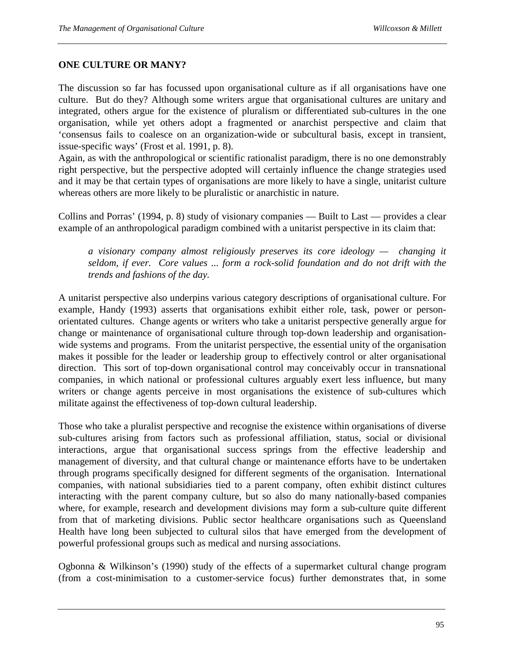#### **ONE CULTURE OR MANY?**

The discussion so far has focussed upon organisational culture as if all organisations have one culture. But do they? Although some writers argue that organisational cultures are unitary and integrated, others argue for the existence of pluralism or differentiated sub-cultures in the one organisation, while yet others adopt a fragmented or anarchist perspective and claim that 'consensus fails to coalesce on an organization-wide or subcultural basis, except in transient, issue-specific ways' (Frost et al. 1991, p. 8).

Again, as with the anthropological or scientific rationalist paradigm, there is no one demonstrably right perspective, but the perspective adopted will certainly influence the change strategies used and it may be that certain types of organisations are more likely to have a single, unitarist culture whereas others are more likely to be pluralistic or anarchistic in nature.

Collins and Porras' (1994, p. 8) study of visionary companies — Built to Last — provides a clear example of an anthropological paradigm combined with a unitarist perspective in its claim that:

*a visionary company almost religiously preserves its core ideology — changing it seldom, if ever. Core values ... form a rock-solid foundation and do not drift with the trends and fashions of the day.* 

A unitarist perspective also underpins various category descriptions of organisational culture. For example, Handy (1993) asserts that organisations exhibit either role, task, power or personorientated cultures. Change agents or writers who take a unitarist perspective generally argue for change or maintenance of organisational culture through top-down leadership and organisationwide systems and programs. From the unitarist perspective, the essential unity of the organisation makes it possible for the leader or leadership group to effectively control or alter organisational direction. This sort of top-down organisational control may conceivably occur in transnational companies, in which national or professional cultures arguably exert less influence, but many writers or change agents perceive in most organisations the existence of sub-cultures which militate against the effectiveness of top-down cultural leadership.

Those who take a pluralist perspective and recognise the existence within organisations of diverse sub-cultures arising from factors such as professional affiliation, status, social or divisional interactions, argue that organisational success springs from the effective leadership and management of diversity, and that cultural change or maintenance efforts have to be undertaken through programs specifically designed for different segments of the organisation. International companies, with national subsidiaries tied to a parent company, often exhibit distinct cultures interacting with the parent company culture, but so also do many nationally-based companies where, for example, research and development divisions may form a sub-culture quite different from that of marketing divisions. Public sector healthcare organisations such as Queensland Health have long been subjected to cultural silos that have emerged from the development of powerful professional groups such as medical and nursing associations.

Ogbonna & Wilkinson's (1990) study of the effects of a supermarket cultural change program (from a cost-minimisation to a customer-service focus) further demonstrates that, in some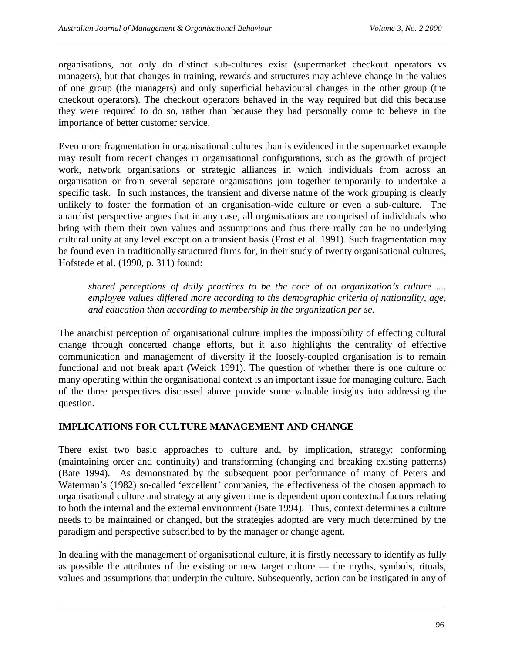organisations, not only do distinct sub-cultures exist (supermarket checkout operators vs managers), but that changes in training, rewards and structures may achieve change in the values of one group (the managers) and only superficial behavioural changes in the other group (the checkout operators). The checkout operators behaved in the way required but did this because they were required to do so, rather than because they had personally come to believe in the importance of better customer service.

Even more fragmentation in organisational cultures than is evidenced in the supermarket example may result from recent changes in organisational configurations, such as the growth of project work, network organisations or strategic alliances in which individuals from across an organisation or from several separate organisations join together temporarily to undertake a specific task. In such instances, the transient and diverse nature of the work grouping is clearly unlikely to foster the formation of an organisation-wide culture or even a sub-culture. The anarchist perspective argues that in any case, all organisations are comprised of individuals who bring with them their own values and assumptions and thus there really can be no underlying cultural unity at any level except on a transient basis (Frost et al. 1991). Such fragmentation may be found even in traditionally structured firms for, in their study of twenty organisational cultures, Hofstede et al. (1990, p. 311) found:

*shared perceptions of daily practices to be the core of an organization's culture .... employee values differed more according to the demographic criteria of nationality, age, and education than according to membership in the organization per se.* 

The anarchist perception of organisational culture implies the impossibility of effecting cultural change through concerted change efforts, but it also highlights the centrality of effective communication and management of diversity if the loosely-coupled organisation is to remain functional and not break apart (Weick 1991). The question of whether there is one culture or many operating within the organisational context is an important issue for managing culture. Each of the three perspectives discussed above provide some valuable insights into addressing the question.

## **IMPLICATIONS FOR CULTURE MANAGEMENT AND CHANGE**

There exist two basic approaches to culture and, by implication, strategy: conforming (maintaining order and continuity) and transforming (changing and breaking existing patterns) (Bate 1994). As demonstrated by the subsequent poor performance of many of Peters and Waterman's (1982) so-called 'excellent' companies, the effectiveness of the chosen approach to organisational culture and strategy at any given time is dependent upon contextual factors relating to both the internal and the external environment (Bate 1994). Thus, context determines a culture needs to be maintained or changed, but the strategies adopted are very much determined by the paradigm and perspective subscribed to by the manager or change agent.

In dealing with the management of organisational culture, it is firstly necessary to identify as fully as possible the attributes of the existing or new target culture — the myths, symbols, rituals, values and assumptions that underpin the culture. Subsequently, action can be instigated in any of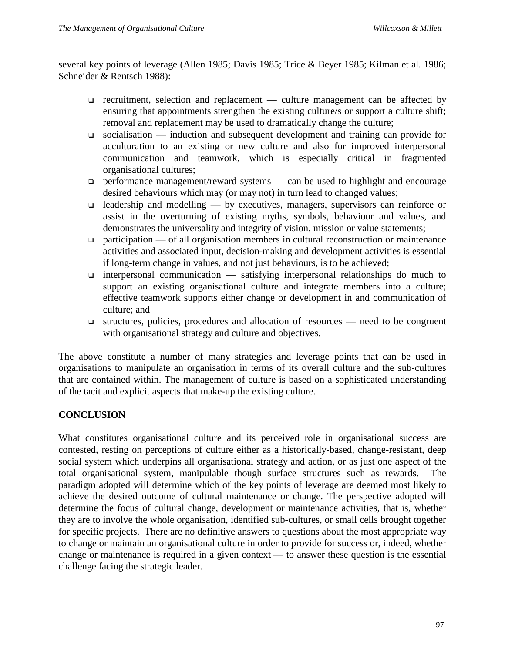several key points of leverage (Allen 1985; Davis 1985; Trice & Beyer 1985; Kilman et al. 1986; Schneider & Rentsch 1988):

- $\Box$  recruitment, selection and replacement culture management can be affected by ensuring that appointments strengthen the existing culture/s or support a culture shift; removal and replacement may be used to dramatically change the culture;
- $\Box$  socialisation induction and subsequent development and training can provide for acculturation to an existing or new culture and also for improved interpersonal communication and teamwork, which is especially critical in fragmented organisational cultures;
- $\Box$  performance management/reward systems can be used to highlight and encourage desired behaviours which may (or may not) in turn lead to changed values;
- $\Box$  leadership and modelling by executives, managers, supervisors can reinforce or assist in the overturning of existing myths, symbols, behaviour and values, and demonstrates the universality and integrity of vision, mission or value statements;
- $\Box$  participation of all organisation members in cultural reconstruction or maintenance activities and associated input, decision-making and development activities is essential if long-term change in values, and not just behaviours, is to be achieved;
- $\Box$  interpersonal communication satisfying interpersonal relationships do much to support an existing organisational culture and integrate members into a culture; effective teamwork supports either change or development in and communication of culture; and
- $\Box$  structures, policies, procedures and allocation of resources need to be congruent with organisational strategy and culture and objectives.

The above constitute a number of many strategies and leverage points that can be used in organisations to manipulate an organisation in terms of its overall culture and the sub-cultures that are contained within. The management of culture is based on a sophisticated understanding of the tacit and explicit aspects that make-up the existing culture.

## **CONCLUSION**

What constitutes organisational culture and its perceived role in organisational success are contested, resting on perceptions of culture either as a historically-based, change-resistant, deep social system which underpins all organisational strategy and action, or as just one aspect of the total organisational system, manipulable though surface structures such as rewards. The paradigm adopted will determine which of the key points of leverage are deemed most likely to achieve the desired outcome of cultural maintenance or change. The perspective adopted will determine the focus of cultural change, development or maintenance activities, that is, whether they are to involve the whole organisation, identified sub-cultures, or small cells brought together for specific projects. There are no definitive answers to questions about the most appropriate way to change or maintain an organisational culture in order to provide for success or, indeed, whether change or maintenance is required in a given context — to answer these question is the essential challenge facing the strategic leader.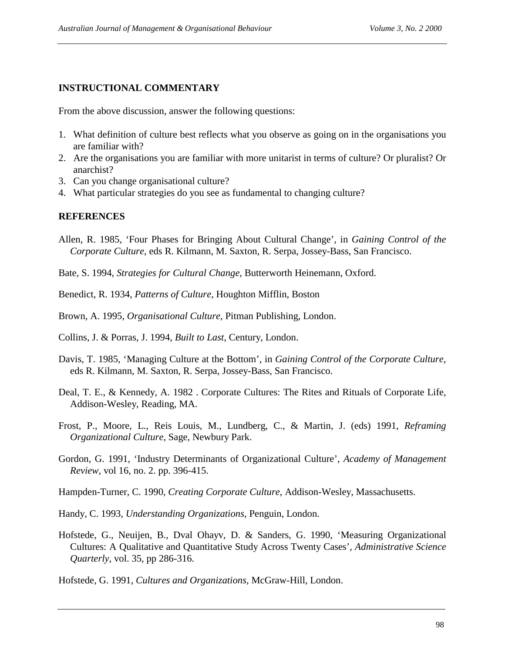## **INSTRUCTIONAL COMMENTARY**

From the above discussion, answer the following questions:

- 1. What definition of culture best reflects what you observe as going on in the organisations you are familiar with?
- 2. Are the organisations you are familiar with more unitarist in terms of culture? Or pluralist? Or anarchist?
- 3. Can you change organisational culture?
- 4. What particular strategies do you see as fundamental to changing culture?

## **REFERENCES**

Allen, R. 1985, 'Four Phases for Bringing About Cultural Change', in *Gaining Control of the Corporate Culture,* eds R. Kilmann, M. Saxton, R. Serpa, Jossey-Bass, San Francisco.

Bate, S. 1994, *Strategies for Cultural Change*, Butterworth Heinemann, Oxford.

- Benedict, R. 1934, *Patterns of Culture*, Houghton Mifflin, Boston
- Brown, A. 1995, *Organisational Culture*, Pitman Publishing, London.
- Collins, J. & Porras, J. 1994, *Built to Last*, Century, London.
- Davis, T. 1985, 'Managing Culture at the Bottom', in *Gaining Control of the Corporate Culture,*  eds R. Kilmann, M. Saxton, R. Serpa, Jossey-Bass, San Francisco.
- Deal, T. E., & Kennedy, A. 1982 . Corporate Cultures: The Rites and Rituals of Corporate Life, Addison-Wesley, Reading, MA.
- Frost, P., Moore, L., Reis Louis, M., Lundberg, C., & Martin, J. (eds) 1991, *Reframing Organizational Culture*, Sage, Newbury Park.
- Gordon, G. 1991, 'Industry Determinants of Organizational Culture', *Academy of Management Review*, vol 16, no. 2. pp. 396-415.
- Hampden-Turner, C. 1990, *Creating Corporate Culture*, Addison-Wesley, Massachusetts.
- Handy, C. 1993, *Understanding Organizations*, Penguin, London.
- Hofstede, G., Neuijen, B., Dval Ohayv, D. & Sanders, G. 1990, 'Measuring Organizational Cultures: A Qualitative and Quantitative Study Across Twenty Cases', *Administrative Science Quarterly*, vol. 35, pp 286-316.
- Hofstede, G. 1991, *Cultures and Organizations*, McGraw-Hill, London.